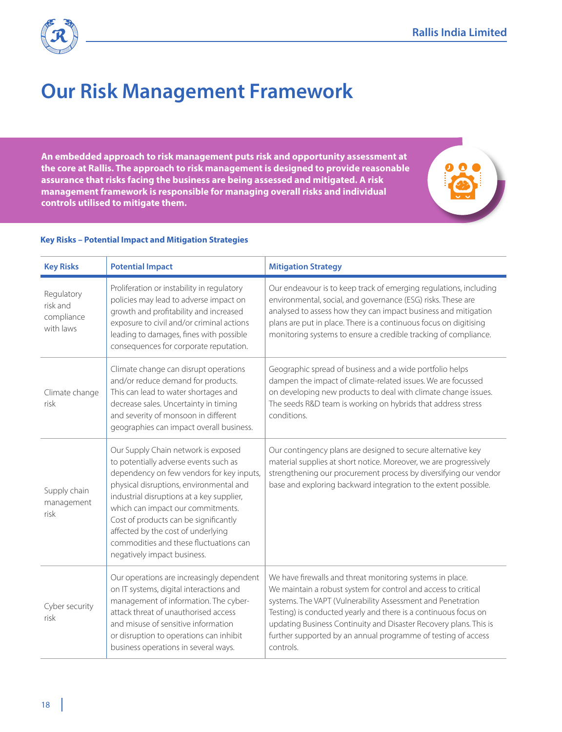

## **Our Risk Management Framework**

**An embedded approach to risk management puts risk and opportunity assessment at the core at Rallis. The approach to risk management is designed to provide reasonable assurance that risks facing the business are being assessed and mitigated. A risk management framework is responsible for managing overall risks and individual controls utilised to mitigate them.** 

## **Key Risks – Potential Impact and Mitigation Strategies**

| <b>Key Risks</b>                                  | <b>Potential Impact</b>                                                                                                                                                                                                                                                                                                                                                                                        | <b>Mitigation Strategy</b>                                                                                                                                                                                                                                                                                                                                                                                       |
|---------------------------------------------------|----------------------------------------------------------------------------------------------------------------------------------------------------------------------------------------------------------------------------------------------------------------------------------------------------------------------------------------------------------------------------------------------------------------|------------------------------------------------------------------------------------------------------------------------------------------------------------------------------------------------------------------------------------------------------------------------------------------------------------------------------------------------------------------------------------------------------------------|
| Regulatory<br>risk and<br>compliance<br>with laws | Proliferation or instability in regulatory<br>policies may lead to adverse impact on<br>growth and profitability and increased<br>exposure to civil and/or criminal actions<br>leading to damages, fines with possible<br>consequences for corporate reputation.                                                                                                                                               | Our endeavour is to keep track of emerging regulations, including<br>environmental, social, and governance (ESG) risks. These are<br>analysed to assess how they can impact business and mitigation<br>plans are put in place. There is a continuous focus on digitising<br>monitoring systems to ensure a credible tracking of compliance.                                                                      |
| Climate change<br>risk                            | Climate change can disrupt operations<br>and/or reduce demand for products.<br>This can lead to water shortages and<br>decrease sales. Uncertainty in timing<br>and severity of monsoon in different<br>geographies can impact overall business.                                                                                                                                                               | Geographic spread of business and a wide portfolio helps<br>dampen the impact of climate-related issues. We are focussed<br>on developing new products to deal with climate change issues.<br>The seeds R&D team is working on hybrids that address stress<br>conditions.                                                                                                                                        |
| Supply chain<br>management<br>risk                | Our Supply Chain network is exposed<br>to potentially adverse events such as<br>dependency on few vendors for key inputs,<br>physical disruptions, environmental and<br>industrial disruptions at a key supplier,<br>which can impact our commitments.<br>Cost of products can be significantly<br>affected by the cost of underlying<br>commodities and these fluctuations can<br>negatively impact business. | Our contingency plans are designed to secure alternative key<br>material supplies at short notice. Moreover, we are progressively<br>strengthening our procurement process by diversifying our vendor<br>base and exploring backward integration to the extent possible.                                                                                                                                         |
| Cyber security<br>risk                            | Our operations are increasingly dependent<br>on IT systems, digital interactions and<br>management of information. The cyber-<br>attack threat of unauthorised access<br>and misuse of sensitive information<br>or disruption to operations can inhibit<br>business operations in several ways.                                                                                                                | We have firewalls and threat monitoring systems in place.<br>We maintain a robust system for control and access to critical<br>systems. The VAPT (Vulnerability Assessment and Penetration<br>Testing) is conducted yearly and there is a continuous focus on<br>updating Business Continuity and Disaster Recovery plans. This is<br>further supported by an annual programme of testing of access<br>controls. |